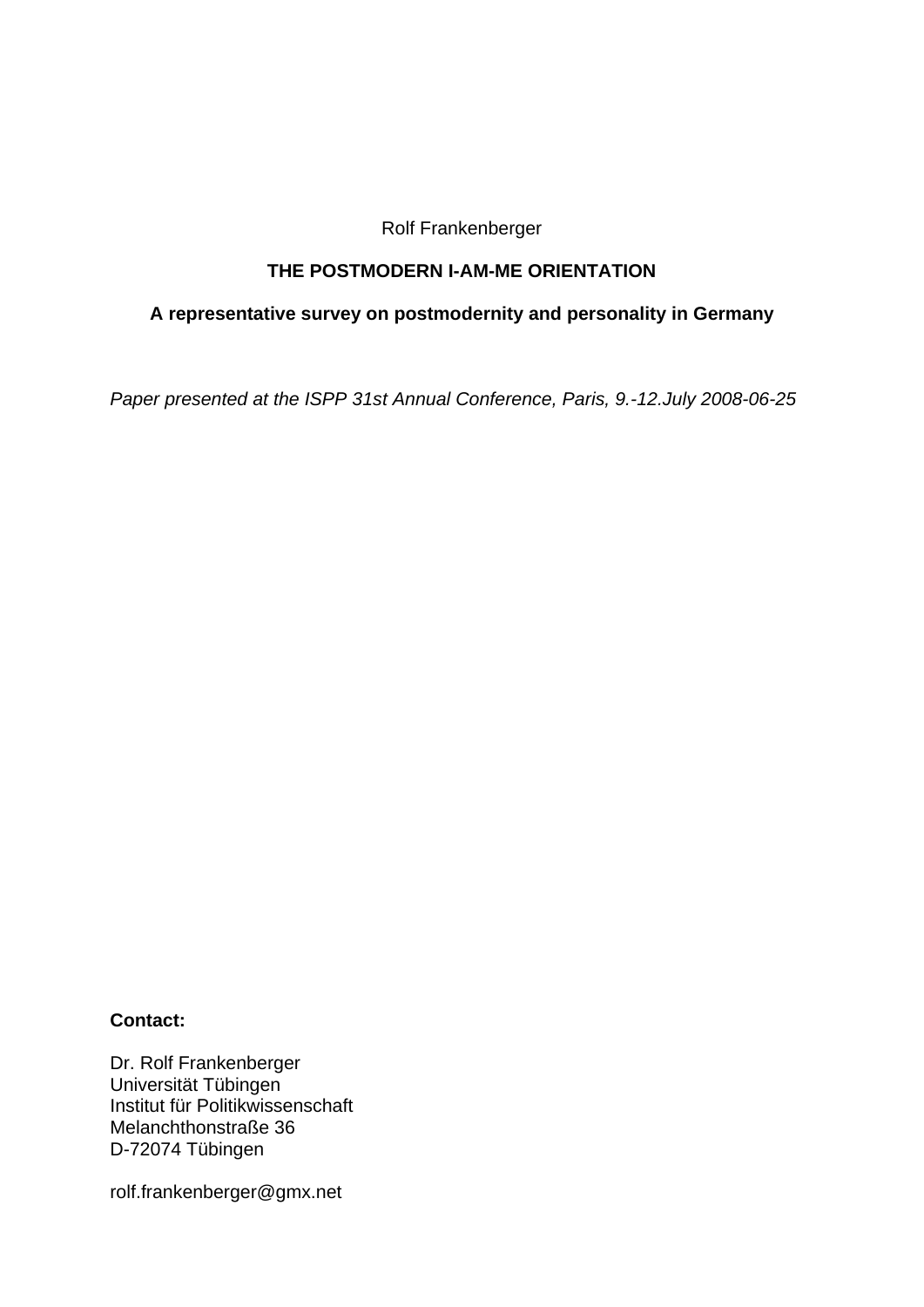Rolf Frankenberger

### **THE POSTMODERN I-AM-ME ORIENTATION**

### **A representative survey on postmodernity and personality in Germany**

*Paper presented at the ISPP 31st Annual Conference, Paris, 9.-12.July 2008-06-25* 

### **Contact:**

Dr. Rolf Frankenberger Universität Tübingen Institut für Politikwissenschaft Melanchthonstraße 36 D-72074 Tübingen

rolf.frankenberger@gmx.net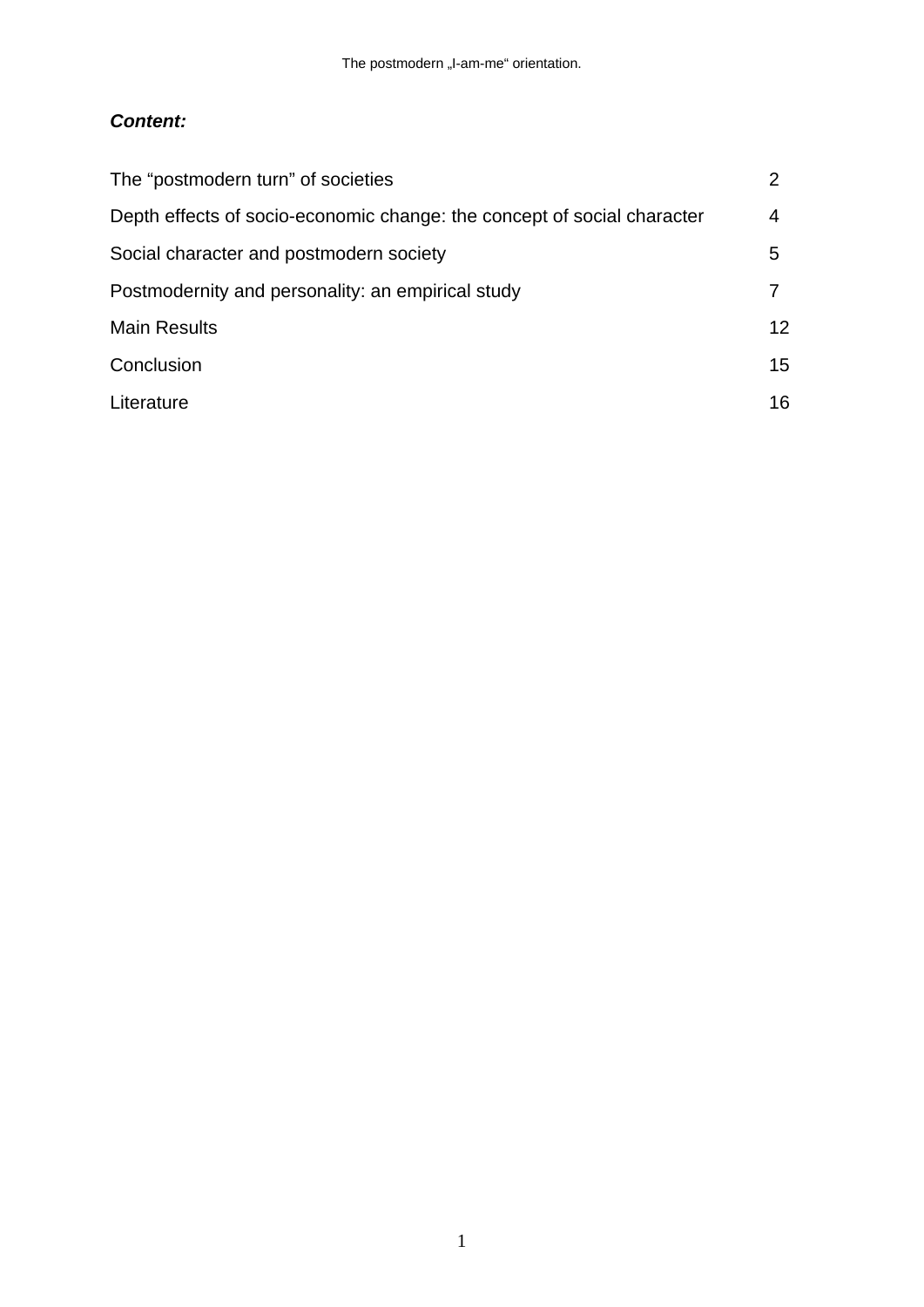# *Content:*

| The "postmodern turn" of societies                                      |    |
|-------------------------------------------------------------------------|----|
| Depth effects of socio-economic change: the concept of social character | 4  |
| Social character and postmodern society                                 | 5  |
| Postmodernity and personality: an empirical study                       |    |
| <b>Main Results</b>                                                     | 12 |
| Conclusion                                                              | 15 |
| Literature                                                              | 16 |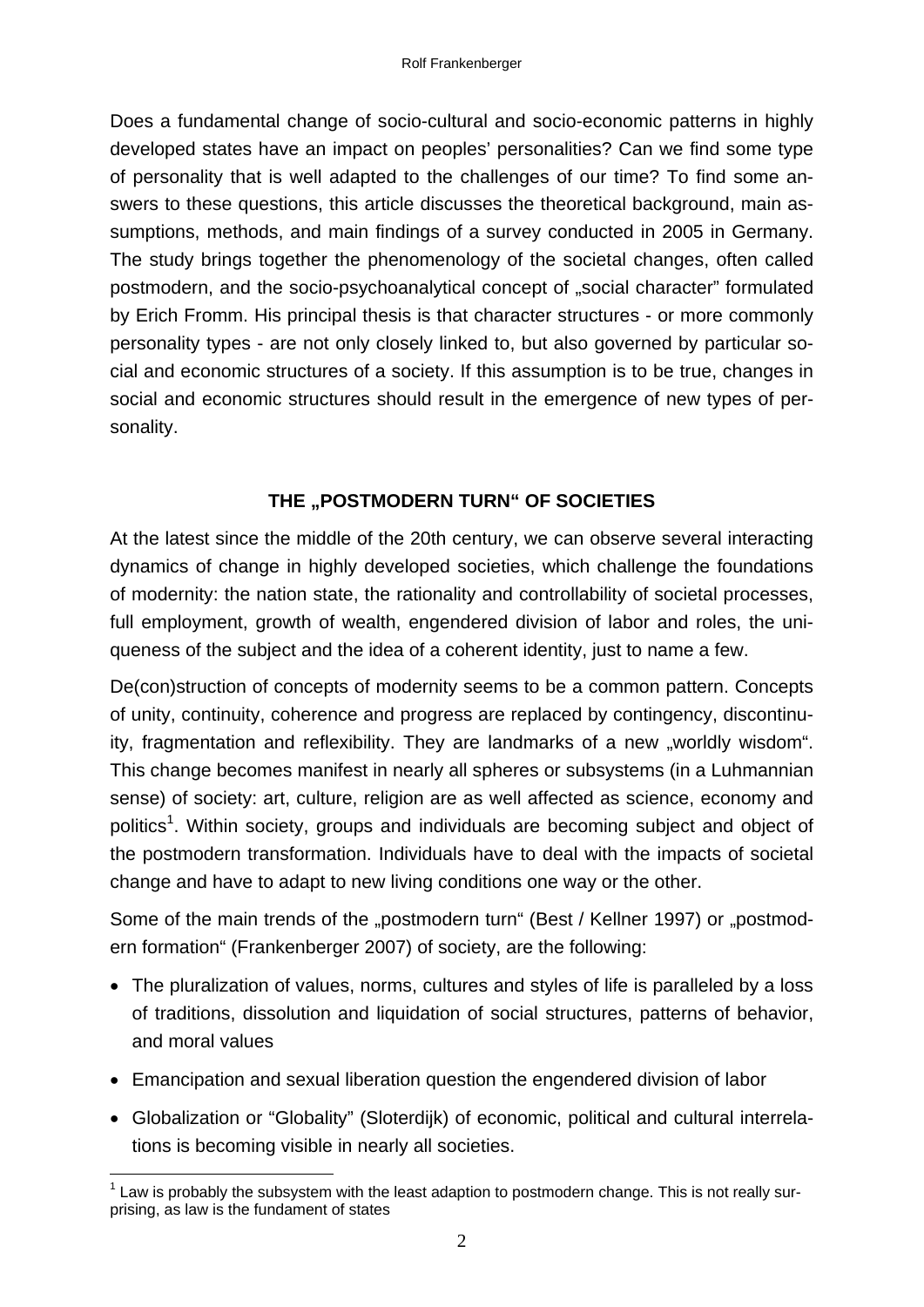Does a fundamental change of socio-cultural and socio-economic patterns in highly developed states have an impact on peoples' personalities? Can we find some type of personality that is well adapted to the challenges of our time? To find some answers to these questions, this article discusses the theoretical background, main assumptions, methods, and main findings of a survey conducted in 2005 in Germany. The study brings together the phenomenology of the societal changes, often called postmodern, and the socio-psychoanalytical concept of "social character" formulated by Erich Fromm. His principal thesis is that character structures - or more commonly personality types - are not only closely linked to, but also governed by particular social and economic structures of a society. If this assumption is to be true, changes in social and economic structures should result in the emergence of new types of personality.

## **THE ..POSTMODERN TURN" OF SOCIETIES**

At the latest since the middle of the 20th century, we can observe several interacting dynamics of change in highly developed societies, which challenge the foundations of modernity: the nation state, the rationality and controllability of societal processes, full employment, growth of wealth, engendered division of labor and roles, the uniqueness of the subject and the idea of a coherent identity, just to name a few.

De(con)struction of concepts of modernity seems to be a common pattern. Concepts of unity, continuity, coherence and progress are replaced by contingency, discontinuity, fragmentation and reflexibility. They are landmarks of a new "worldly wisdom". This change becomes manifest in nearly all spheres or subsystems (in a Luhmannian sense) of society: art, culture, religion are as well affected as science, economy and politics<sup>1</sup>. Within society, groups and individuals are becoming subject and object of the postmodern transformation. Individuals have to deal with the impacts of societal change and have to adapt to new living conditions one way or the other.

Some of the main trends of the "postmodern turn" (Best / Kellner 1997) or "postmodern formation" (Frankenberger 2007) of society, are the following:

- The pluralization of values, norms, cultures and styles of life is paralleled by a loss of traditions, dissolution and liquidation of social structures, patterns of behavior, and moral values
- Emancipation and sexual liberation question the engendered division of labor
- Globalization or "Globality" (Sloterdijk) of economic, political and cultural interrelations is becoming visible in nearly all societies.

<sup>1</sup>  $1$  Law is probably the subsystem with the least adaption to postmodern change. This is not really surprising, as law is the fundament of states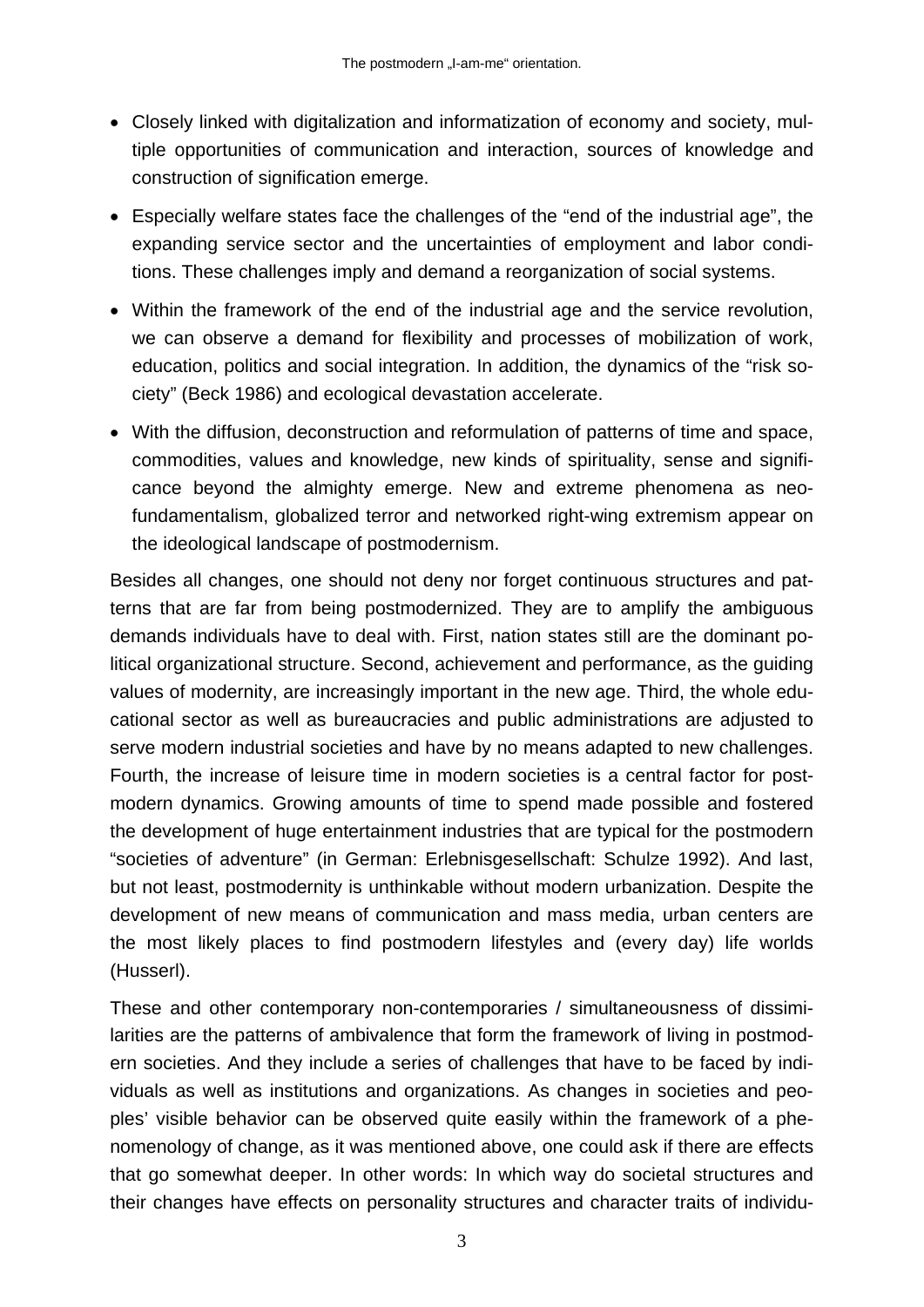- Closely linked with digitalization and informatization of economy and society, multiple opportunities of communication and interaction, sources of knowledge and construction of signification emerge.
- Especially welfare states face the challenges of the "end of the industrial age", the expanding service sector and the uncertainties of employment and labor conditions. These challenges imply and demand a reorganization of social systems.
- Within the framework of the end of the industrial age and the service revolution, we can observe a demand for flexibility and processes of mobilization of work, education, politics and social integration. In addition, the dynamics of the "risk society" (Beck 1986) and ecological devastation accelerate.
- With the diffusion, deconstruction and reformulation of patterns of time and space, commodities, values and knowledge, new kinds of spirituality, sense and significance beyond the almighty emerge. New and extreme phenomena as neofundamentalism, globalized terror and networked right-wing extremism appear on the ideological landscape of postmodernism.

Besides all changes, one should not deny nor forget continuous structures and patterns that are far from being postmodernized. They are to amplify the ambiguous demands individuals have to deal with. First, nation states still are the dominant political organizational structure. Second, achievement and performance, as the guiding values of modernity, are increasingly important in the new age. Third, the whole educational sector as well as bureaucracies and public administrations are adjusted to serve modern industrial societies and have by no means adapted to new challenges. Fourth, the increase of leisure time in modern societies is a central factor for postmodern dynamics. Growing amounts of time to spend made possible and fostered the development of huge entertainment industries that are typical for the postmodern "societies of adventure" (in German: Erlebnisgesellschaft: Schulze 1992). And last, but not least, postmodernity is unthinkable without modern urbanization. Despite the development of new means of communication and mass media, urban centers are the most likely places to find postmodern lifestyles and (every day) life worlds (Husserl).

These and other contemporary non-contemporaries / simultaneousness of dissimilarities are the patterns of ambivalence that form the framework of living in postmodern societies. And they include a series of challenges that have to be faced by individuals as well as institutions and organizations. As changes in societies and peoples' visible behavior can be observed quite easily within the framework of a phenomenology of change, as it was mentioned above, one could ask if there are effects that go somewhat deeper. In other words: In which way do societal structures and their changes have effects on personality structures and character traits of individu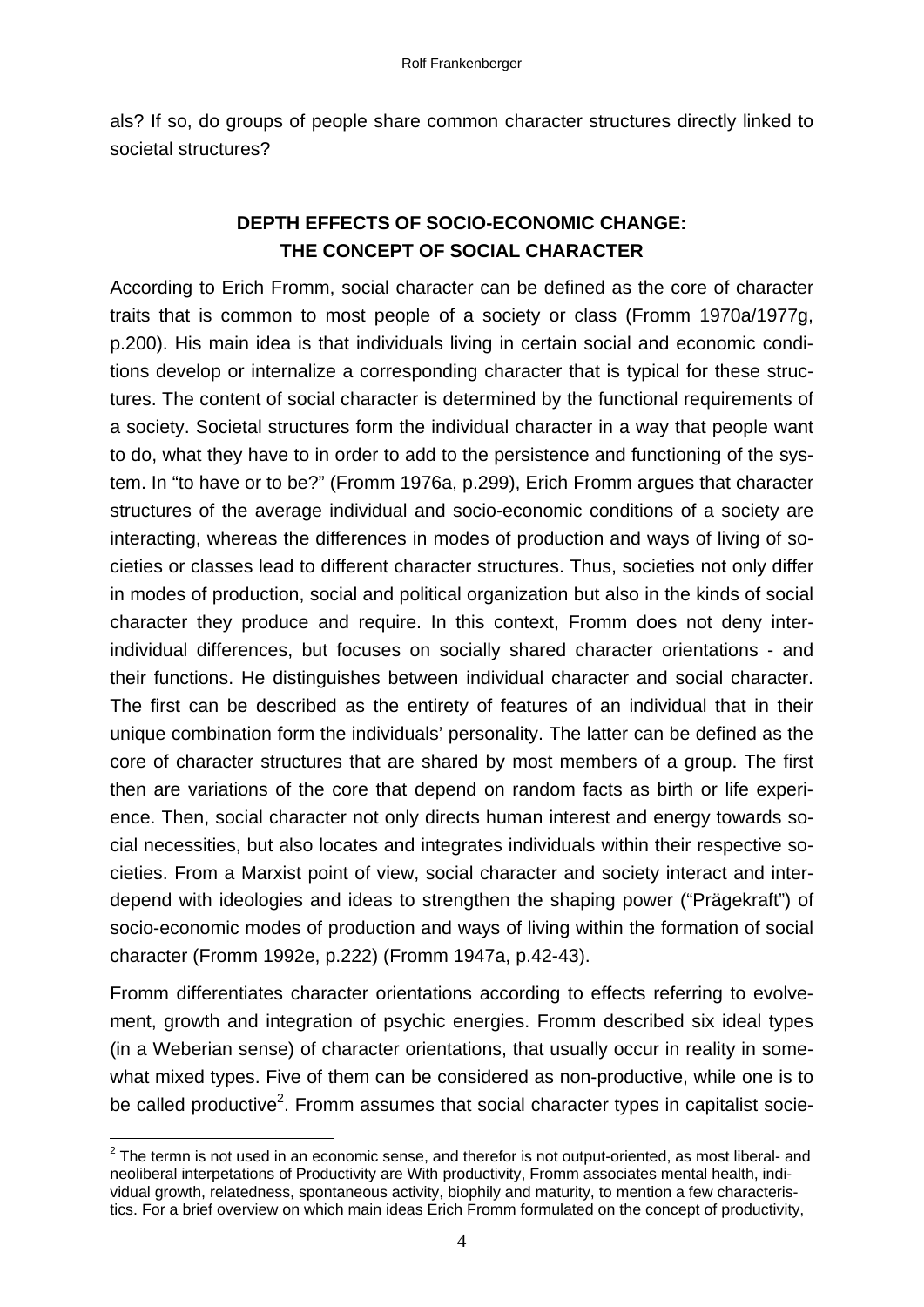als? If so, do groups of people share common character structures directly linked to societal structures?

# **DEPTH EFFECTS OF SOCIO-ECONOMIC CHANGE: THE CONCEPT OF SOCIAL CHARACTER**

According to Erich Fromm, social character can be defined as the core of character traits that is common to most people of a society or class (Fromm 1970a/1977g, p.200). His main idea is that individuals living in certain social and economic conditions develop or internalize a corresponding character that is typical for these structures. The content of social character is determined by the functional requirements of a society. Societal structures form the individual character in a way that people want to do, what they have to in order to add to the persistence and functioning of the system. In "to have or to be?" (Fromm 1976a, p.299), Erich Fromm argues that character structures of the average individual and socio-economic conditions of a society are interacting, whereas the differences in modes of production and ways of living of societies or classes lead to different character structures. Thus, societies not only differ in modes of production, social and political organization but also in the kinds of social character they produce and require. In this context, Fromm does not deny interindividual differences, but focuses on socially shared character orientations - and their functions. He distinguishes between individual character and social character. The first can be described as the entirety of features of an individual that in their unique combination form the individuals' personality. The latter can be defined as the core of character structures that are shared by most members of a group. The first then are variations of the core that depend on random facts as birth or life experience. Then, social character not only directs human interest and energy towards social necessities, but also locates and integrates individuals within their respective societies. From a Marxist point of view, social character and society interact and interdepend with ideologies and ideas to strengthen the shaping power ("Prägekraft") of socio-economic modes of production and ways of living within the formation of social character (Fromm 1992e, p.222) (Fromm 1947a, p.42-43).

Fromm differentiates character orientations according to effects referring to evolvement, growth and integration of psychic energies. Fromm described six ideal types (in a Weberian sense) of character orientations, that usually occur in reality in somewhat mixed types. Five of them can be considered as non-productive, while one is to be called productive<sup>2</sup>. Fromm assumes that social character types in capitalist socie-

1

 $2$  The termn is not used in an economic sense, and therefor is not output-oriented, as most liberal- and neoliberal interpetations of Productivity are With productivity, Fromm associates mental health, individual growth, relatedness, spontaneous activity, biophily and maturity, to mention a few characteristics. For a brief overview on which main ideas Erich Fromm formulated on the concept of productivity,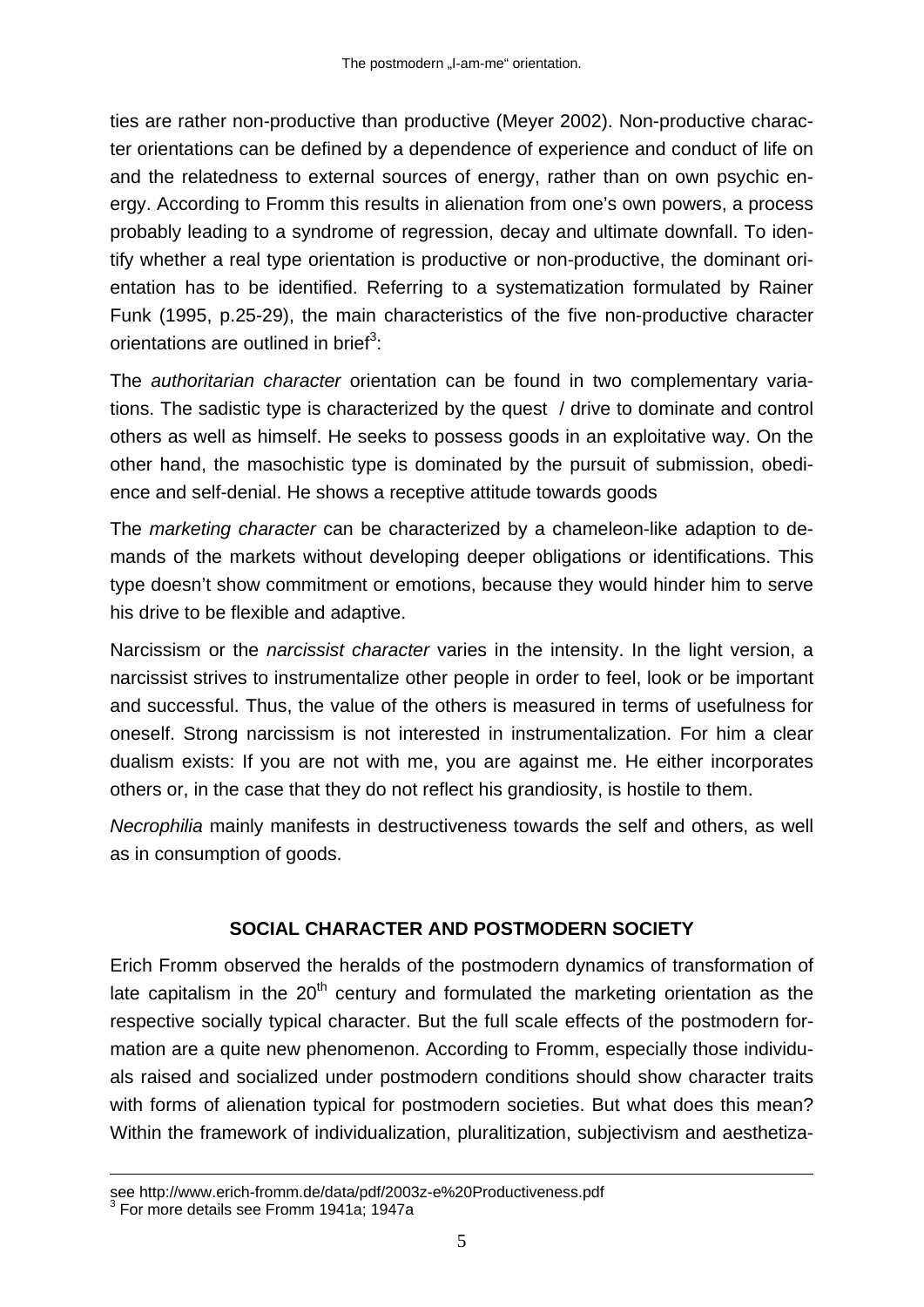ties are rather non-productive than productive (Meyer 2002). Non-productive character orientations can be defined by a dependence of experience and conduct of life on and the relatedness to external sources of energy, rather than on own psychic energy. According to Fromm this results in alienation from one's own powers, a process probably leading to a syndrome of regression, decay and ultimate downfall. To identify whether a real type orientation is productive or non-productive, the dominant orientation has to be identified. Referring to a systematization formulated by Rainer Funk (1995, p.25-29), the main characteristics of the five non-productive character orientations are outlined in brief<sup>3</sup>:

The *authoritarian character* orientation can be found in two complementary variations. The sadistic type is characterized by the quest / drive to dominate and control others as well as himself. He seeks to possess goods in an exploitative way. On the other hand, the masochistic type is dominated by the pursuit of submission, obedience and self-denial. He shows a receptive attitude towards goods

The *marketing character* can be characterized by a chameleon-like adaption to demands of the markets without developing deeper obligations or identifications. This type doesn't show commitment or emotions, because they would hinder him to serve his drive to be flexible and adaptive.

Narcissism or the *narcissist character* varies in the intensity. In the light version, a narcissist strives to instrumentalize other people in order to feel, look or be important and successful. Thus, the value of the others is measured in terms of usefulness for oneself. Strong narcissism is not interested in instrumentalization. For him a clear dualism exists: If you are not with me, you are against me. He either incorporates others or, in the case that they do not reflect his grandiosity, is hostile to them.

*Necrophilia* mainly manifests in destructiveness towards the self and others, as well as in consumption of goods.

### **SOCIAL CHARACTER AND POSTMODERN SOCIETY**

Erich Fromm observed the heralds of the postmodern dynamics of transformation of late capitalism in the  $20<sup>th</sup>$  century and formulated the marketing orientation as the respective socially typical character. But the full scale effects of the postmodern formation are a quite new phenomenon. According to Fromm, especially those individuals raised and socialized under postmodern conditions should show character traits with forms of alienation typical for postmodern societies. But what does this mean? Within the framework of individualization, pluralitization, subjectivism and aesthetiza-

1

see http://www.erich-fromm.de/data/pdf/2003z-e%20Productiveness.pdf 3

 $3$  For more details see Fromm 1941a; 1947a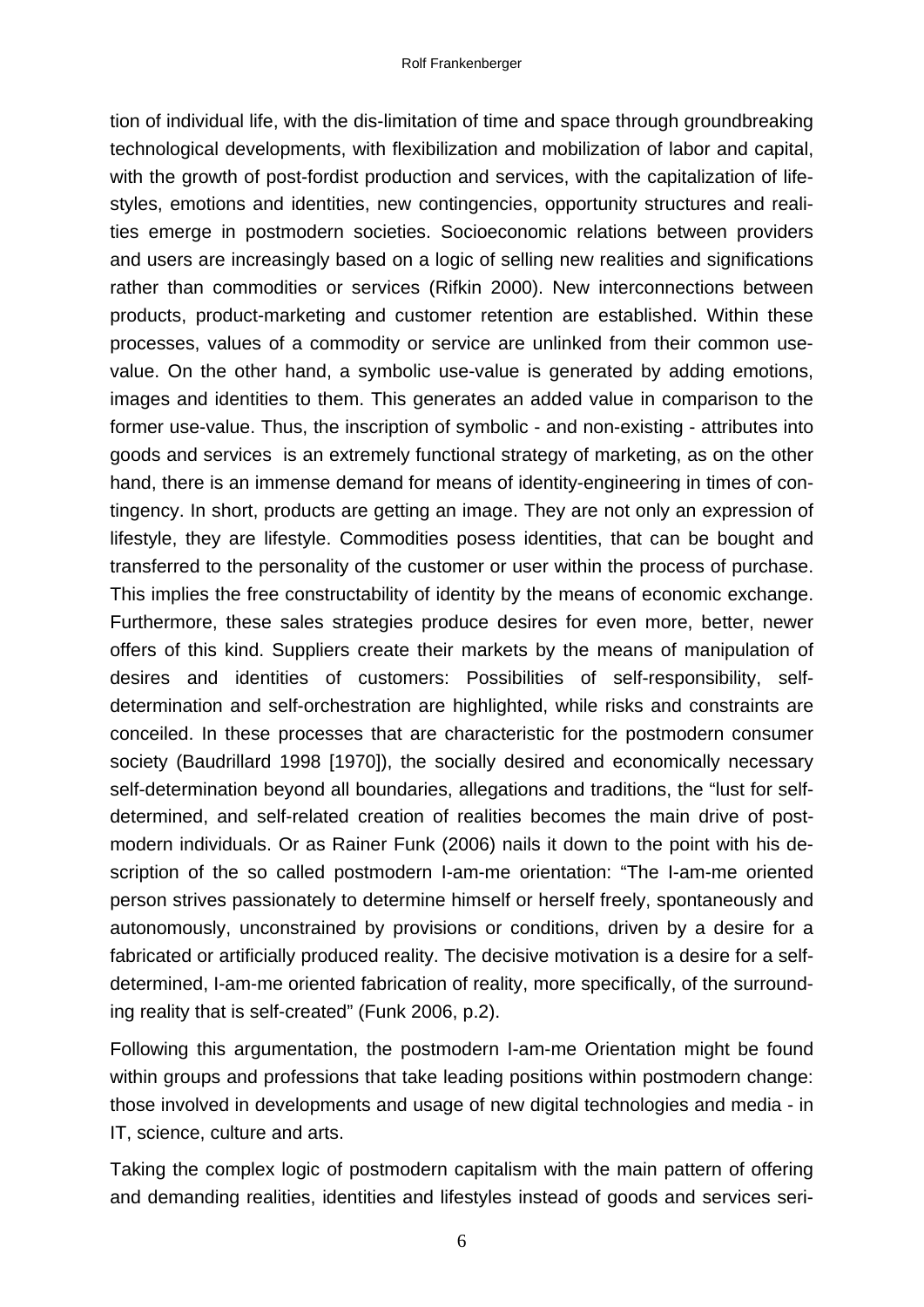tion of individual life, with the dis-limitation of time and space through groundbreaking technological developments, with flexibilization and mobilization of labor and capital, with the growth of post-fordist production and services, with the capitalization of lifestyles, emotions and identities, new contingencies, opportunity structures and realities emerge in postmodern societies. Socioeconomic relations between providers and users are increasingly based on a logic of selling new realities and significations rather than commodities or services (Rifkin 2000). New interconnections between products, product-marketing and customer retention are established. Within these processes, values of a commodity or service are unlinked from their common usevalue. On the other hand, a symbolic use-value is generated by adding emotions, images and identities to them. This generates an added value in comparison to the former use-value. Thus, the inscription of symbolic - and non-existing - attributes into goods and services is an extremely functional strategy of marketing, as on the other hand, there is an immense demand for means of identity-engineering in times of contingency. In short, products are getting an image. They are not only an expression of lifestyle, they are lifestyle. Commodities posess identities, that can be bought and transferred to the personality of the customer or user within the process of purchase. This implies the free constructability of identity by the means of economic exchange. Furthermore, these sales strategies produce desires for even more, better, newer offers of this kind. Suppliers create their markets by the means of manipulation of desires and identities of customers: Possibilities of self-responsibility, selfdetermination and self-orchestration are highlighted, while risks and constraints are conceiled. In these processes that are characteristic for the postmodern consumer society (Baudrillard 1998 [1970]), the socially desired and economically necessary self-determination beyond all boundaries, allegations and traditions, the "lust for selfdetermined, and self-related creation of realities becomes the main drive of postmodern individuals. Or as Rainer Funk (2006) nails it down to the point with his description of the so called postmodern I-am-me orientation: "The I-am-me oriented person strives passionately to determine himself or herself freely, spontaneously and autonomously, unconstrained by provisions or conditions, driven by a desire for a fabricated or artificially produced reality. The decisive motivation is a desire for a selfdetermined, I-am-me oriented fabrication of reality, more specifically, of the surrounding reality that is self-created" (Funk 2006, p.2).

Following this argumentation, the postmodern I-am-me Orientation might be found within groups and professions that take leading positions within postmodern change: those involved in developments and usage of new digital technologies and media - in IT, science, culture and arts.

Taking the complex logic of postmodern capitalism with the main pattern of offering and demanding realities, identities and lifestyles instead of goods and services seri-

6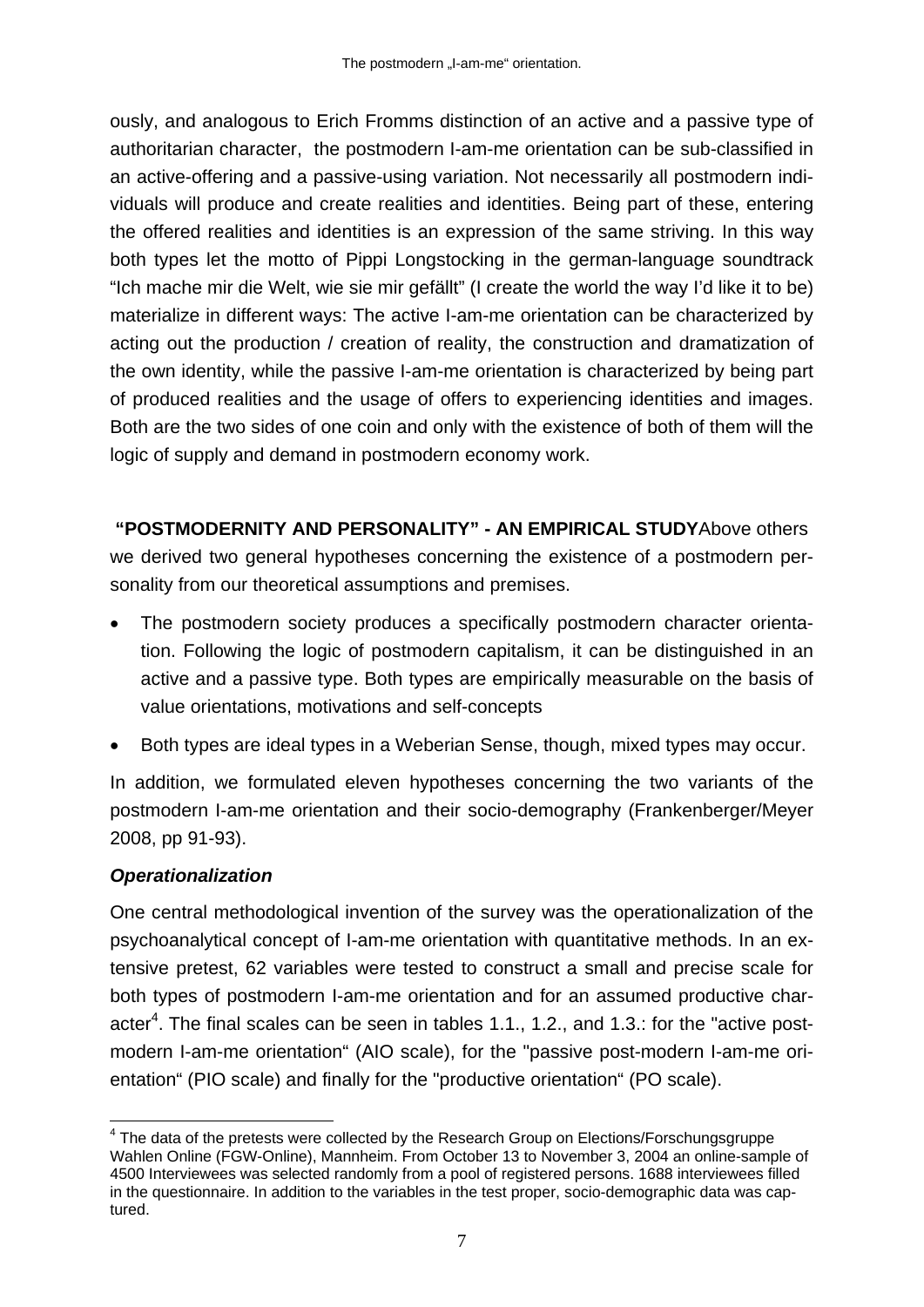ously, and analogous to Erich Fromms distinction of an active and a passive type of authoritarian character, the postmodern I-am-me orientation can be sub-classified in an active-offering and a passive-using variation. Not necessarily all postmodern individuals will produce and create realities and identities. Being part of these, entering the offered realities and identities is an expression of the same striving. In this way both types let the motto of Pippi Longstocking in the german-language soundtrack "Ich mache mir die Welt, wie sie mir gefällt" (I create the world the way I'd like it to be) materialize in different ways: The active I-am-me orientation can be characterized by acting out the production / creation of reality, the construction and dramatization of the own identity, while the passive I-am-me orientation is characterized by being part of produced realities and the usage of offers to experiencing identities and images. Both are the two sides of one coin and only with the existence of both of them will the logic of supply and demand in postmodern economy work.

**"POSTMODERNITY AND PERSONALITY" - AN EMPIRICAL STUDY**Above others we derived two general hypotheses concerning the existence of a postmodern personality from our theoretical assumptions and premises.

- The postmodern society produces a specifically postmodern character orientation. Following the logic of postmodern capitalism, it can be distinguished in an active and a passive type. Both types are empirically measurable on the basis of value orientations, motivations and self-concepts
- Both types are ideal types in a Weberian Sense, though, mixed types may occur.

In addition, we formulated eleven hypotheses concerning the two variants of the postmodern I-am-me orientation and their socio-demography (Frankenberger/Meyer 2008, pp 91-93).

## *Operationalization*

One central methodological invention of the survey was the operationalization of the psychoanalytical concept of I-am-me orientation with quantitative methods. In an extensive pretest, 62 variables were tested to construct a small and precise scale for both types of postmodern I-am-me orientation and for an assumed productive character<sup>4</sup>. The final scales can be seen in tables 1.1., 1.2., and 1.3.: for the "active postmodern I-am-me orientation" (AIO scale), for the "passive post-modern I-am-me orientation" (PIO scale) and finally for the "productive orientation" (PO scale).

<sup>1</sup>  $4$  The data of the pretests were collected by the Research Group on Elections/Forschungsgruppe Wahlen Online (FGW-Online), Mannheim. From October 13 to November 3, 2004 an online-sample of 4500 Interviewees was selected randomly from a pool of registered persons. 1688 interviewees filled in the questionnaire. In addition to the variables in the test proper, socio-demographic data was captured.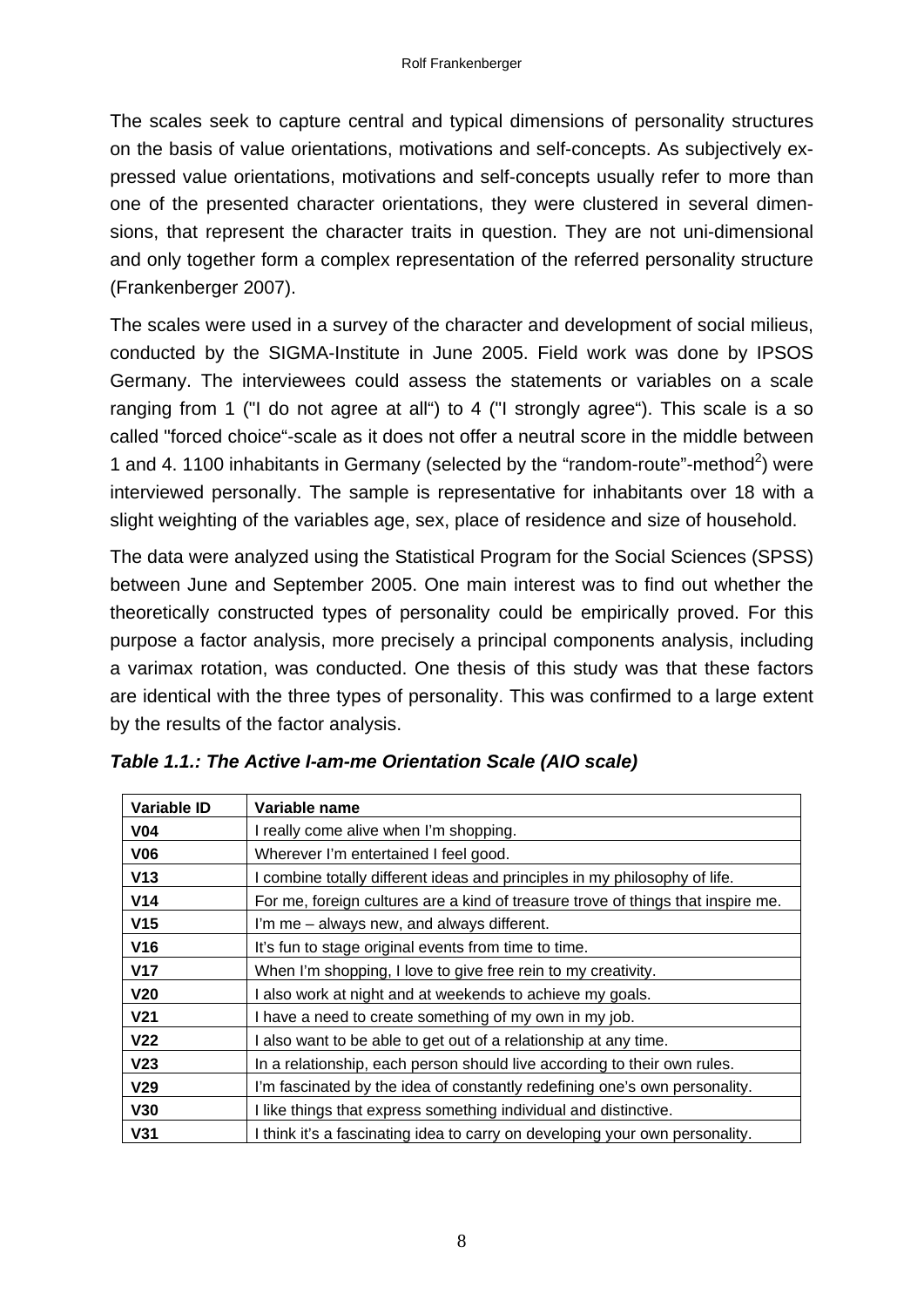The scales seek to capture central and typical dimensions of personality structures on the basis of value orientations, motivations and self-concepts. As subjectively expressed value orientations, motivations and self-concepts usually refer to more than one of the presented character orientations, they were clustered in several dimensions, that represent the character traits in question. They are not uni-dimensional and only together form a complex representation of the referred personality structure (Frankenberger 2007).

The scales were used in a survey of the character and development of social milieus, conducted by the SIGMA-Institute in June 2005. Field work was done by IPSOS Germany. The interviewees could assess the statements or variables on a scale ranging from 1 ("I do not agree at all") to 4 ("I strongly agree"). This scale is a so called "forced choice"-scale as it does not offer a neutral score in the middle between 1 and 4. 1100 inhabitants in Germany (selected by the "random-route"-method<sup>2</sup>) were interviewed personally. The sample is representative for inhabitants over 18 with a slight weighting of the variables age, sex, place of residence and size of household.

The data were analyzed using the Statistical Program for the Social Sciences (SPSS) between June and September 2005. One main interest was to find out whether the theoretically constructed types of personality could be empirically proved. For this purpose a factor analysis, more precisely a principal components analysis, including a varimax rotation, was conducted. One thesis of this study was that these factors are identical with the three types of personality. This was confirmed to a large extent by the results of the factor analysis.

| <b>Variable ID</b> | Variable name                                                                    |
|--------------------|----------------------------------------------------------------------------------|
| <b>V04</b>         | I really come alive when I'm shopping.                                           |
| <b>V06</b>         | Wherever I'm entertained I feel good.                                            |
| V13                | I combine totally different ideas and principles in my philosophy of life.       |
| V14                | For me, foreign cultures are a kind of treasure trove of things that inspire me. |
| V <sub>15</sub>    | I'm me - always new, and always different.                                       |
| <b>V16</b>         | It's fun to stage original events from time to time.                             |
| <b>V17</b>         | When I'm shopping, I love to give free rein to my creativity.                    |
| V <sub>20</sub>    | I also work at night and at weekends to achieve my goals.                        |
| V <sub>21</sub>    | I have a need to create something of my own in my job.                           |
| V <sub>22</sub>    | I also want to be able to get out of a relationship at any time.                 |
| V <sub>23</sub>    | In a relationship, each person should live according to their own rules.         |
| V <sub>29</sub>    | I'm fascinated by the idea of constantly redefining one's own personality.       |
| <b>V30</b>         | I like things that express something individual and distinctive.                 |
| <b>V31</b>         | I think it's a fascinating idea to carry on developing your own personality.     |

|  |  |  | Table 1.1.: The Active I-am-me Orientation Scale (AIO scale) |  |  |  |
|--|--|--|--------------------------------------------------------------|--|--|--|
|--|--|--|--------------------------------------------------------------|--|--|--|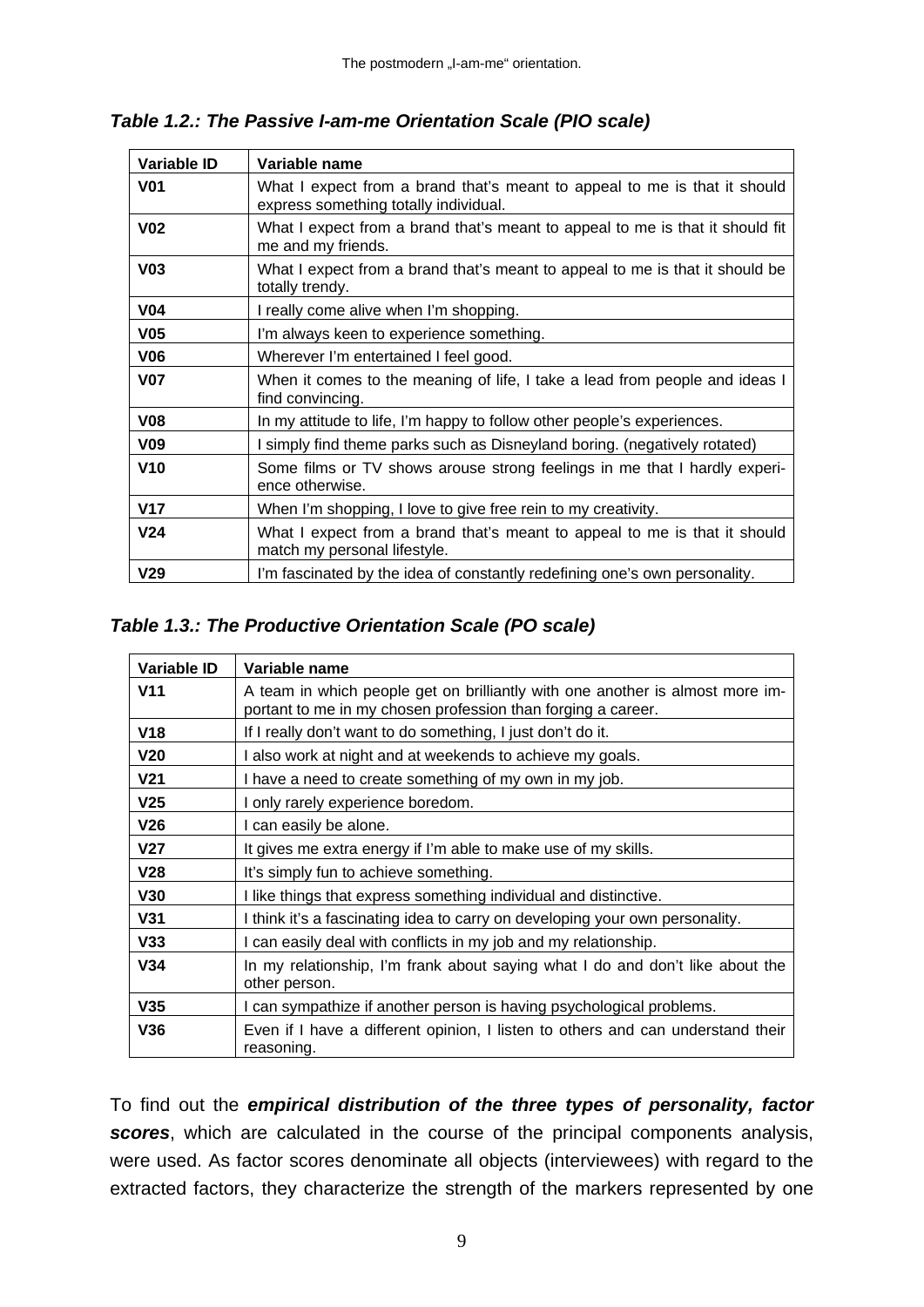*Table 1.2.: The Passive I-am-me Orientation Scale (PIO scale)* 

| Variable ID     | Variable name                                                                                                      |
|-----------------|--------------------------------------------------------------------------------------------------------------------|
| <b>V01</b>      | What I expect from a brand that's meant to appeal to me is that it should<br>express something totally individual. |
| V <sub>02</sub> | What I expect from a brand that's meant to appeal to me is that it should fit<br>me and my friends.                |
| V <sub>03</sub> | What I expect from a brand that's meant to appeal to me is that it should be<br>totally trendy.                    |
| V <sub>04</sub> | I really come alive when I'm shopping.                                                                             |
| V <sub>05</sub> | I'm always keen to experience something.                                                                           |
| V <sub>06</sub> | Wherever I'm entertained I feel good.                                                                              |
| <b>V07</b>      | When it comes to the meaning of life, I take a lead from people and ideas I<br>find convincing.                    |
| V <sub>08</sub> | In my attitude to life, I'm happy to follow other people's experiences.                                            |
| V <sub>09</sub> | I simply find theme parks such as Disneyland boring. (negatively rotated)                                          |
| V <sub>10</sub> | Some films or TV shows arouse strong feelings in me that I hardly experi-<br>ence otherwise.                       |
| V17             | When I'm shopping, I love to give free rein to my creativity.                                                      |
| V <sub>24</sub> | What I expect from a brand that's meant to appeal to me is that it should<br>match my personal lifestyle.          |
| V <sub>29</sub> | I'm fascinated by the idea of constantly redefining one's own personality.                                         |

# *Table 1.3.: The Productive Orientation Scale (PO scale)*

| <b>Variable ID</b> | Variable name                                                                                                                                 |
|--------------------|-----------------------------------------------------------------------------------------------------------------------------------------------|
| V <sub>11</sub>    | A team in which people get on brilliantly with one another is almost more im-<br>portant to me in my chosen profession than forging a career. |
| <b>V18</b>         | If I really don't want to do something, I just don't do it.                                                                                   |
| V <sub>20</sub>    | I also work at night and at weekends to achieve my goals.                                                                                     |
| V <sub>21</sub>    | I have a need to create something of my own in my job.                                                                                        |
| V <sub>25</sub>    | I only rarely experience boredom.                                                                                                             |
| V26                | I can easily be alone.                                                                                                                        |
| V <sub>27</sub>    | It gives me extra energy if I'm able to make use of my skills.                                                                                |
| V <sub>28</sub>    | It's simply fun to achieve something.                                                                                                         |
| V30                | I like things that express something individual and distinctive.                                                                              |
| <b>V31</b>         | I think it's a fascinating idea to carry on developing your own personality.                                                                  |
| V33                | I can easily deal with conflicts in my job and my relationship.                                                                               |
| V34                | In my relationship, I'm frank about saying what I do and don't like about the<br>other person.                                                |
| V35                | I can sympathize if another person is having psychological problems.                                                                          |
| V36                | Even if I have a different opinion, I listen to others and can understand their<br>reasoning.                                                 |

To find out the *empirical distribution of the three types of personality, factor scores*, which are calculated in the course of the principal components analysis, were used. As factor scores denominate all objects (interviewees) with regard to the extracted factors, they characterize the strength of the markers represented by one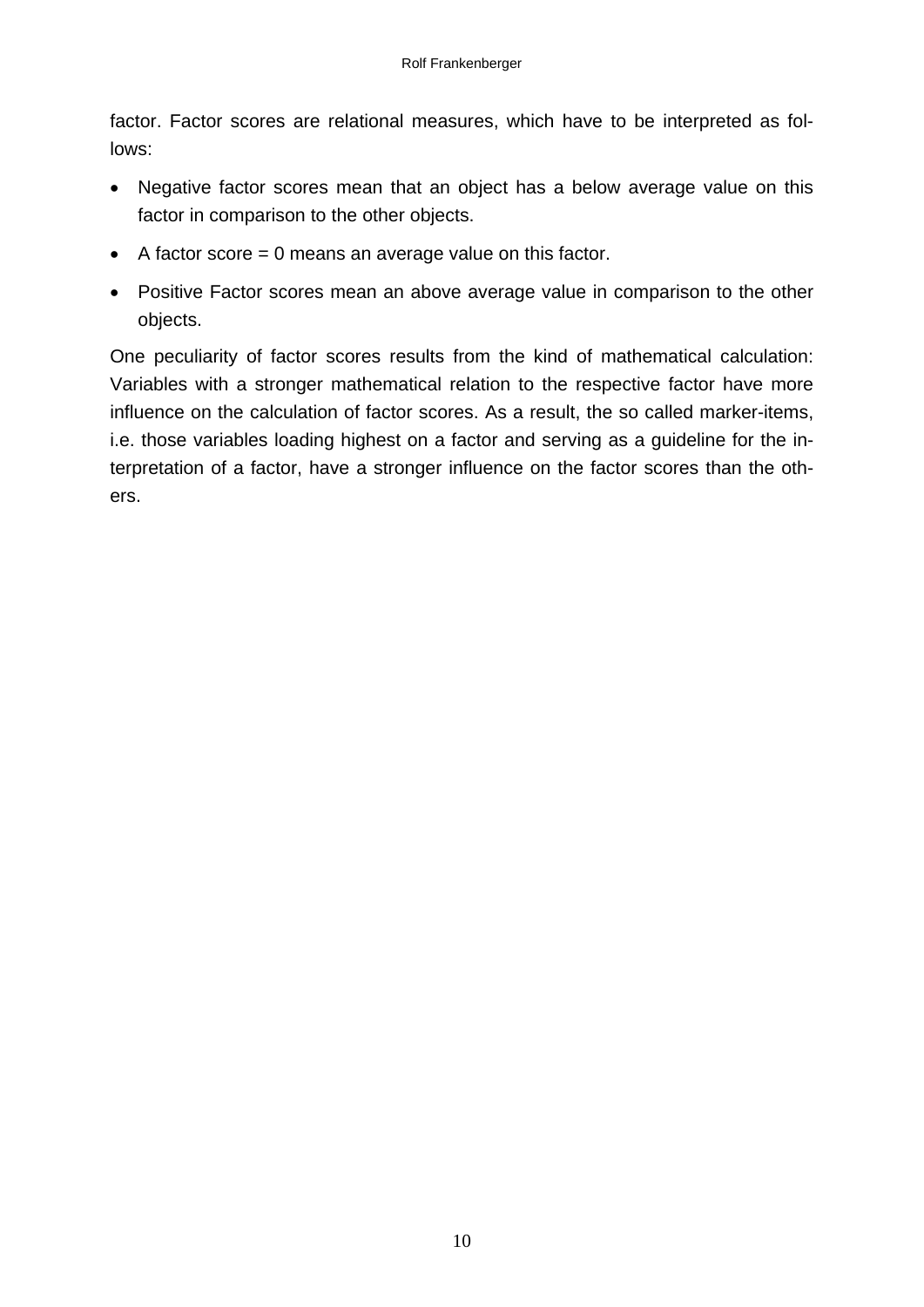factor. Factor scores are relational measures, which have to be interpreted as follows:

- Negative factor scores mean that an object has a below average value on this factor in comparison to the other objects.
- $\bullet$  A factor score = 0 means an average value on this factor.
- Positive Factor scores mean an above average value in comparison to the other objects.

One peculiarity of factor scores results from the kind of mathematical calculation: Variables with a stronger mathematical relation to the respective factor have more influence on the calculation of factor scores. As a result, the so called marker-items, i.e. those variables loading highest on a factor and serving as a guideline for the interpretation of a factor, have a stronger influence on the factor scores than the others.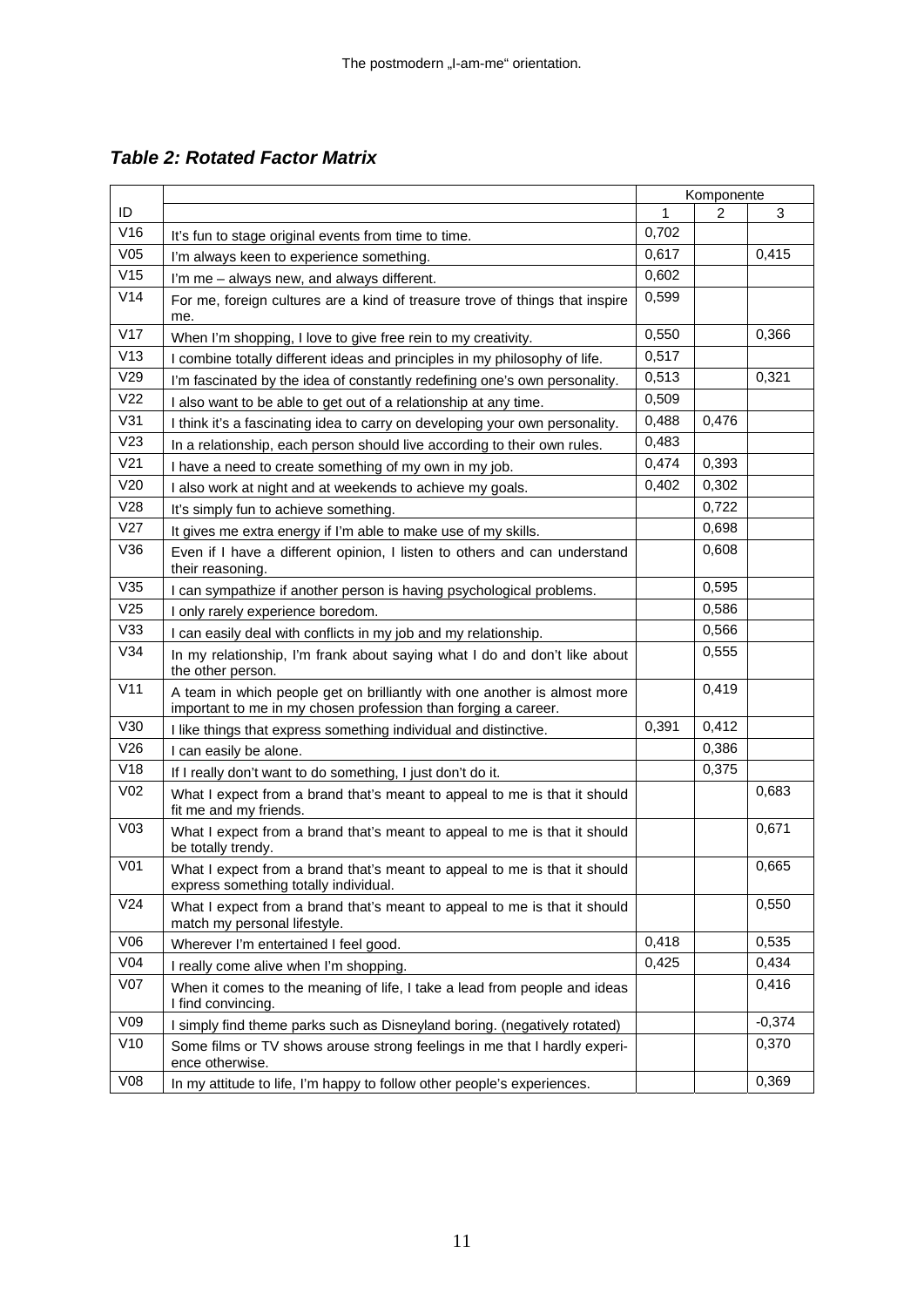*Table 2: Rotated Factor Matrix* 

|                 |                                                                                                                                             |       | Komponente |          |
|-----------------|---------------------------------------------------------------------------------------------------------------------------------------------|-------|------------|----------|
| ID              |                                                                                                                                             | 1     | 2          | 3        |
| V16             | It's fun to stage original events from time to time.                                                                                        | 0,702 |            |          |
| V05             | I'm always keen to experience something.                                                                                                    | 0,617 |            | 0,415    |
| V15             | I'm me - always new, and always different.                                                                                                  | 0,602 |            |          |
| V14             | For me, foreign cultures are a kind of treasure trove of things that inspire<br>me.                                                         | 0,599 |            |          |
| V17             | When I'm shopping, I love to give free rein to my creativity.                                                                               | 0,550 |            | 0,366    |
| V13             | I combine totally different ideas and principles in my philosophy of life.                                                                  | 0,517 |            |          |
| V29             | I'm fascinated by the idea of constantly redefining one's own personality.                                                                  | 0,513 |            | 0,321    |
| V <sub>22</sub> | I also want to be able to get out of a relationship at any time.                                                                            | 0,509 |            |          |
| V31             | I think it's a fascinating idea to carry on developing your own personality.                                                                | 0,488 | 0,476      |          |
| V23             | In a relationship, each person should live according to their own rules.                                                                    | 0,483 |            |          |
| V <sub>21</sub> | I have a need to create something of my own in my job.                                                                                      | 0,474 | 0,393      |          |
| V20             | I also work at night and at weekends to achieve my goals.                                                                                   | 0,402 | 0,302      |          |
| V28             | It's simply fun to achieve something.                                                                                                       |       | 0,722      |          |
| V27             | It gives me extra energy if I'm able to make use of my skills.                                                                              |       | 0,698      |          |
| V36             | Even if I have a different opinion, I listen to others and can understand<br>their reasoning.                                               |       | 0,608      |          |
| V35             | I can sympathize if another person is having psychological problems.                                                                        |       | 0,595      |          |
| V25             | I only rarely experience boredom.                                                                                                           |       | 0,586      |          |
| V33             | I can easily deal with conflicts in my job and my relationship.                                                                             |       | 0,566      |          |
| V34             | In my relationship, I'm frank about saying what I do and don't like about<br>the other person.                                              |       | 0,555      |          |
| V11             | A team in which people get on brilliantly with one another is almost more<br>important to me in my chosen profession than forging a career. |       | 0,419      |          |
| V30             | I like things that express something individual and distinctive.                                                                            | 0,391 | 0,412      |          |
| V26             | I can easily be alone.                                                                                                                      |       | 0,386      |          |
| V18             | If I really don't want to do something, I just don't do it.                                                                                 |       | 0,375      |          |
| V <sub>02</sub> | What I expect from a brand that's meant to appeal to me is that it should<br>fit me and my friends.                                         |       |            | 0,683    |
| V <sub>03</sub> | What I expect from a brand that's meant to appeal to me is that it should<br>be totally trendy.                                             |       |            | 0,671    |
| V <sub>01</sub> | What I expect from a brand that's meant to appeal to me is that it should<br>express something totally individual.                          |       |            | 0,665    |
| V <sub>24</sub> | What I expect from a brand that's meant to appeal to me is that it should<br>match my personal lifestyle.                                   |       |            | 0,550    |
| V06             | Wherever I'm entertained I feel good.                                                                                                       | 0,418 |            | 0,535    |
| V <sub>04</sub> | I really come alive when I'm shopping.                                                                                                      | 0,425 |            | 0,434    |
| V <sub>07</sub> | When it comes to the meaning of life, I take a lead from people and ideas<br>I find convincing.                                             |       |            | 0,416    |
| V09             | I simply find theme parks such as Disneyland boring. (negatively rotated)                                                                   |       |            | $-0,374$ |
| V10             | Some films or TV shows arouse strong feelings in me that I hardly experi-<br>ence otherwise.                                                |       |            | 0,370    |
| V08             | In my attitude to life, I'm happy to follow other people's experiences.                                                                     |       |            | 0,369    |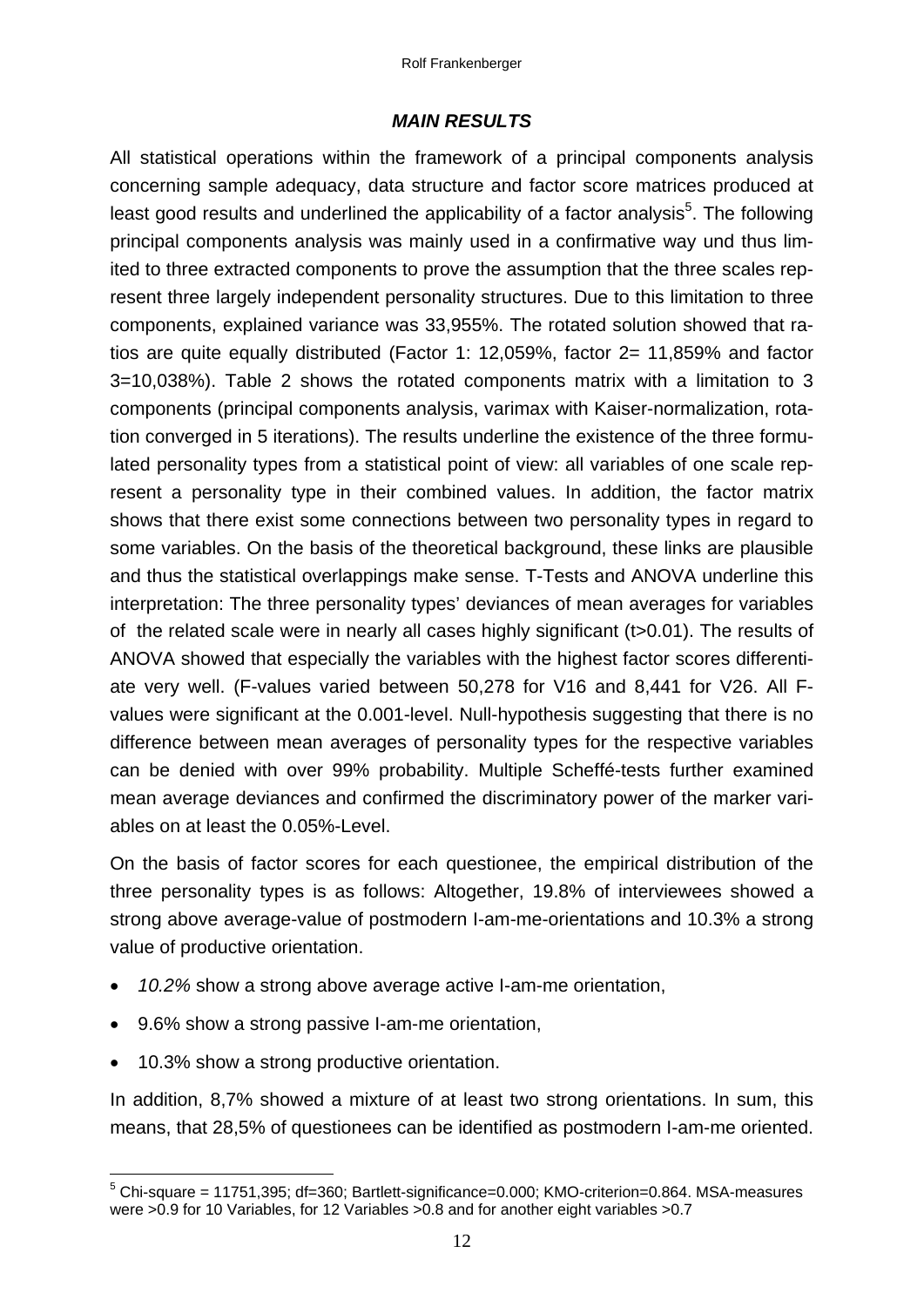#### *MAIN RESULTS*

All statistical operations within the framework of a principal components analysis concerning sample adequacy, data structure and factor score matrices produced at least good results and underlined the applicability of a factor analysis<sup>5</sup>. The following principal components analysis was mainly used in a confirmative way und thus limited to three extracted components to prove the assumption that the three scales represent three largely independent personality structures. Due to this limitation to three components, explained variance was 33,955%. The rotated solution showed that ratios are quite equally distributed (Factor 1: 12,059%, factor 2= 11,859% and factor 3=10,038%). Table 2 shows the rotated components matrix with a limitation to 3 components (principal components analysis, varimax with Kaiser-normalization, rotation converged in 5 iterations). The results underline the existence of the three formulated personality types from a statistical point of view: all variables of one scale represent a personality type in their combined values. In addition, the factor matrix shows that there exist some connections between two personality types in regard to some variables. On the basis of the theoretical background, these links are plausible and thus the statistical overlappings make sense. T-Tests and ANOVA underline this interpretation: The three personality types' deviances of mean averages for variables of the related scale were in nearly all cases highly significant (t>0.01). The results of ANOVA showed that especially the variables with the highest factor scores differentiate very well. (F-values varied between 50,278 for V16 and 8,441 for V26. All Fvalues were significant at the 0.001-level. Null-hypothesis suggesting that there is no difference between mean averages of personality types for the respective variables can be denied with over 99% probability. Multiple Scheffé-tests further examined mean average deviances and confirmed the discriminatory power of the marker variables on at least the 0.05%-Level.

On the basis of factor scores for each questionee, the empirical distribution of the three personality types is as follows: Altogether, 19.8% of interviewees showed a strong above average-value of postmodern I-am-me-orientations and 10.3% a strong value of productive orientation.

- *10.2%* show a strong above average active I-am-me orientation,
- 9.6% show a strong passive I-am-me orientation,
- 10.3% show a strong productive orientation.

In addition, 8,7% showed a mixture of at least two strong orientations. In sum, this means, that 28,5% of questionees can be identified as postmodern I-am-me oriented.

\_\_\_\_\_\_\_\_\_\_\_\_\_\_\_\_\_\_\_\_\_\_\_\_\_\_\_\_\_\_\_\_\_\_\_<br><sup>5</sup> Chi-square = 11751,395; df=360; Bartlett-significance=0.000; KMO-criterion=0.864. MSA-measures were >0.9 for 10 Variables, for 12 Variables >0.8 and for another eight variables >0.7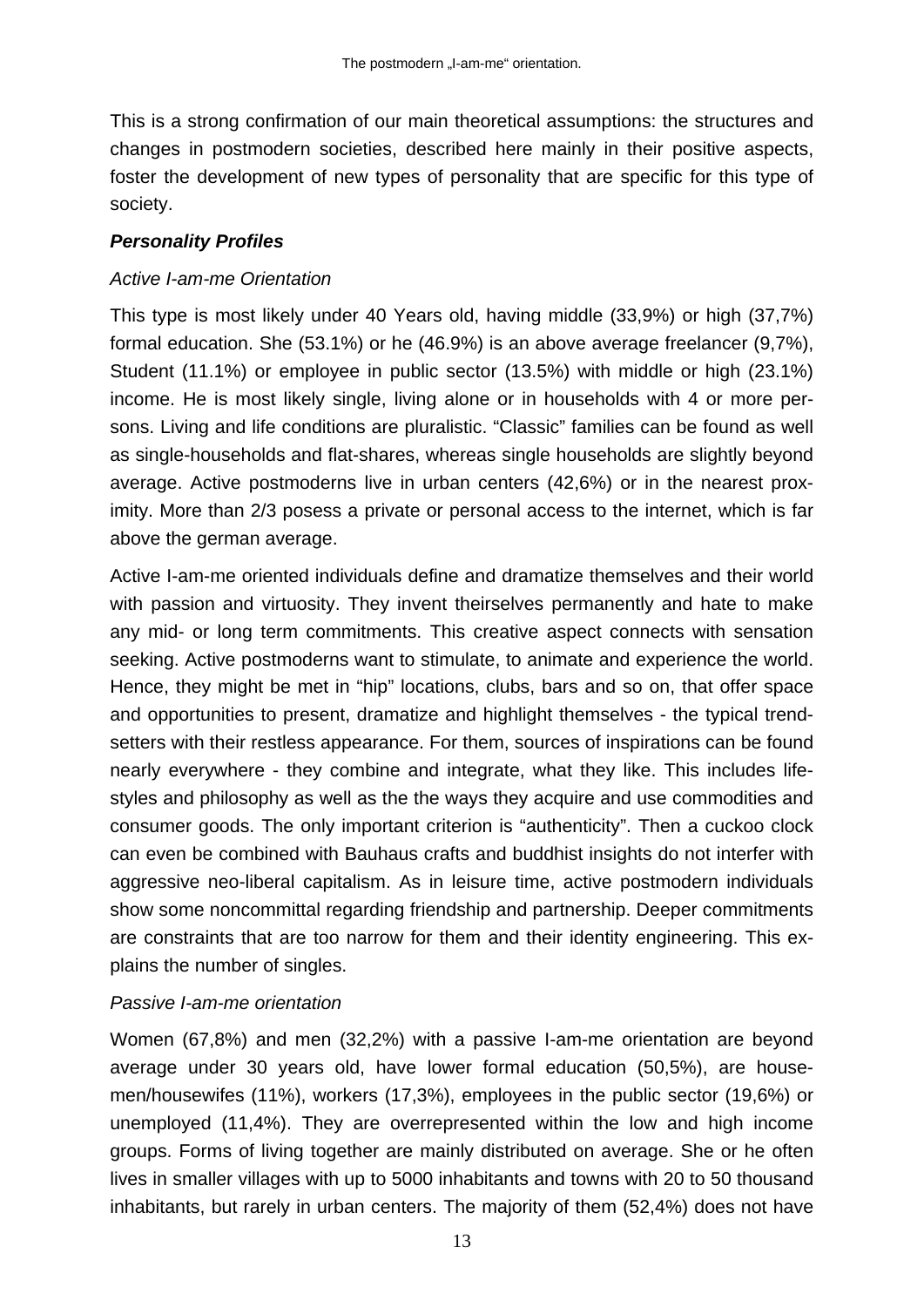This is a strong confirmation of our main theoretical assumptions: the structures and changes in postmodern societies, described here mainly in their positive aspects, foster the development of new types of personality that are specific for this type of society.

### *Personality Profiles*

### *Active I-am-me Orientation*

This type is most likely under 40 Years old, having middle (33,9%) or high (37,7%) formal education. She (53.1%) or he (46.9%) is an above average freelancer (9,7%), Student (11.1%) or employee in public sector (13.5%) with middle or high (23.1%) income. He is most likely single, living alone or in households with 4 or more persons. Living and life conditions are pluralistic. "Classic" families can be found as well as single-households and flat-shares, whereas single households are slightly beyond average. Active postmoderns live in urban centers (42,6%) or in the nearest proximity. More than 2/3 posess a private or personal access to the internet, which is far above the german average.

Active I-am-me oriented individuals define and dramatize themselves and their world with passion and virtuosity. They invent theirselves permanently and hate to make any mid- or long term commitments. This creative aspect connects with sensation seeking. Active postmoderns want to stimulate, to animate and experience the world. Hence, they might be met in "hip" locations, clubs, bars and so on, that offer space and opportunities to present, dramatize and highlight themselves - the typical trendsetters with their restless appearance. For them, sources of inspirations can be found nearly everywhere - they combine and integrate, what they like. This includes lifestyles and philosophy as well as the the ways they acquire and use commodities and consumer goods. The only important criterion is "authenticity". Then a cuckoo clock can even be combined with Bauhaus crafts and buddhist insights do not interfer with aggressive neo-liberal capitalism. As in leisure time, active postmodern individuals show some noncommittal regarding friendship and partnership. Deeper commitments are constraints that are too narrow for them and their identity engineering. This explains the number of singles.

#### *Passive I-am-me orientation*

Women (67,8%) and men (32,2%) with a passive I-am-me orientation are beyond average under 30 years old, have lower formal education (50,5%), are housemen/housewifes (11%), workers (17,3%), employees in the public sector (19,6%) or unemployed (11,4%). They are overrepresented within the low and high income groups. Forms of living together are mainly distributed on average. She or he often lives in smaller villages with up to 5000 inhabitants and towns with 20 to 50 thousand inhabitants, but rarely in urban centers. The majority of them (52,4%) does not have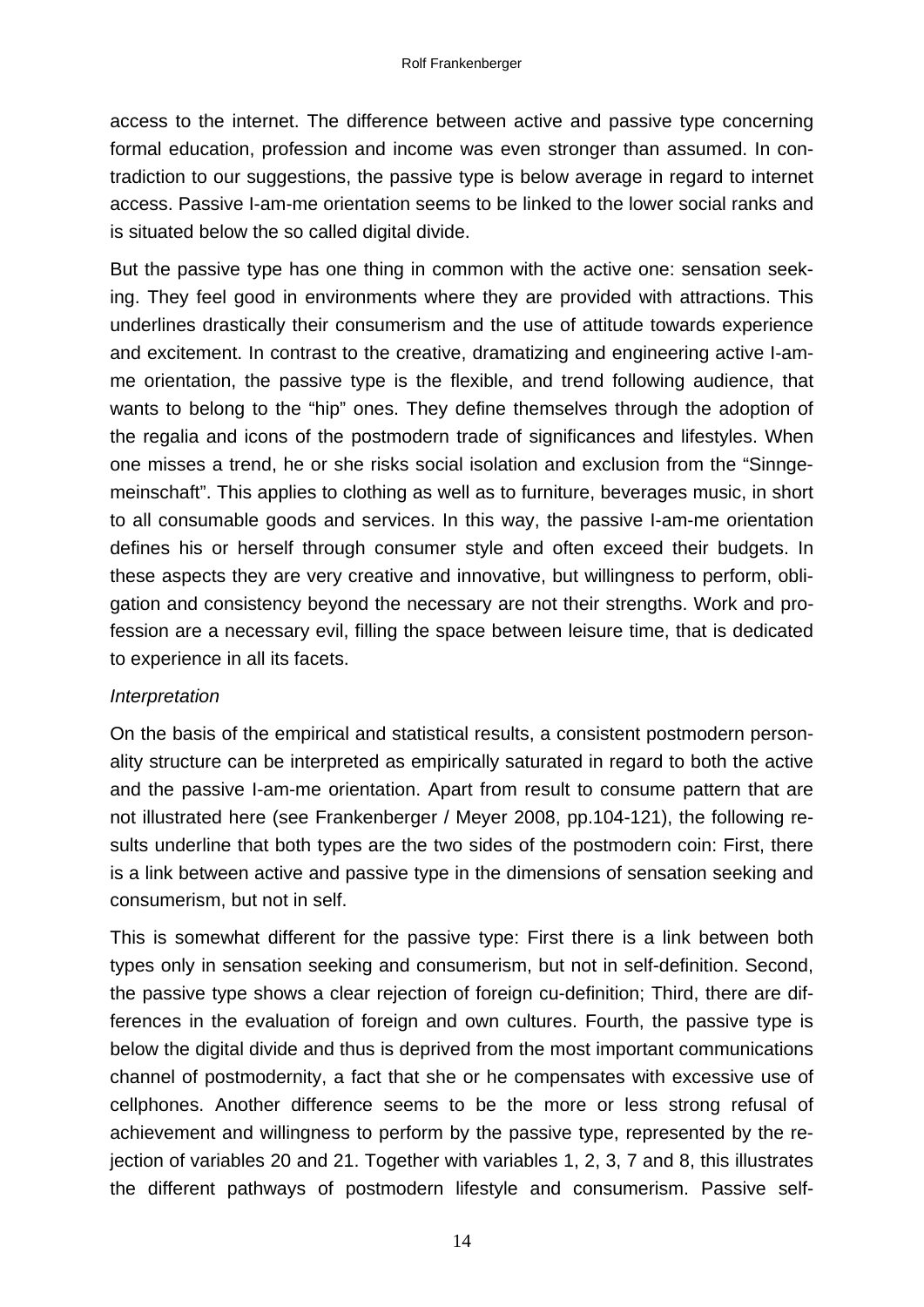access to the internet. The difference between active and passive type concerning formal education, profession and income was even stronger than assumed. In contradiction to our suggestions, the passive type is below average in regard to internet access. Passive I-am-me orientation seems to be linked to the lower social ranks and is situated below the so called digital divide.

But the passive type has one thing in common with the active one: sensation seeking. They feel good in environments where they are provided with attractions. This underlines drastically their consumerism and the use of attitude towards experience and excitement. In contrast to the creative, dramatizing and engineering active I-amme orientation, the passive type is the flexible, and trend following audience, that wants to belong to the "hip" ones. They define themselves through the adoption of the regalia and icons of the postmodern trade of significances and lifestyles. When one misses a trend, he or she risks social isolation and exclusion from the "Sinngemeinschaft". This applies to clothing as well as to furniture, beverages music, in short to all consumable goods and services. In this way, the passive I-am-me orientation defines his or herself through consumer style and often exceed their budgets. In these aspects they are very creative and innovative, but willingness to perform, obligation and consistency beyond the necessary are not their strengths. Work and profession are a necessary evil, filling the space between leisure time, that is dedicated to experience in all its facets.

#### *Interpretation*

On the basis of the empirical and statistical results, a consistent postmodern personality structure can be interpreted as empirically saturated in regard to both the active and the passive I-am-me orientation. Apart from result to consume pattern that are not illustrated here (see Frankenberger / Meyer 2008, pp.104-121), the following results underline that both types are the two sides of the postmodern coin: First, there is a link between active and passive type in the dimensions of sensation seeking and consumerism, but not in self.

This is somewhat different for the passive type: First there is a link between both types only in sensation seeking and consumerism, but not in self-definition. Second, the passive type shows a clear rejection of foreign cu-definition; Third, there are differences in the evaluation of foreign and own cultures. Fourth, the passive type is below the digital divide and thus is deprived from the most important communications channel of postmodernity, a fact that she or he compensates with excessive use of cellphones. Another difference seems to be the more or less strong refusal of achievement and willingness to perform by the passive type, represented by the rejection of variables 20 and 21. Together with variables 1, 2, 3, 7 and 8, this illustrates the different pathways of postmodern lifestyle and consumerism. Passive self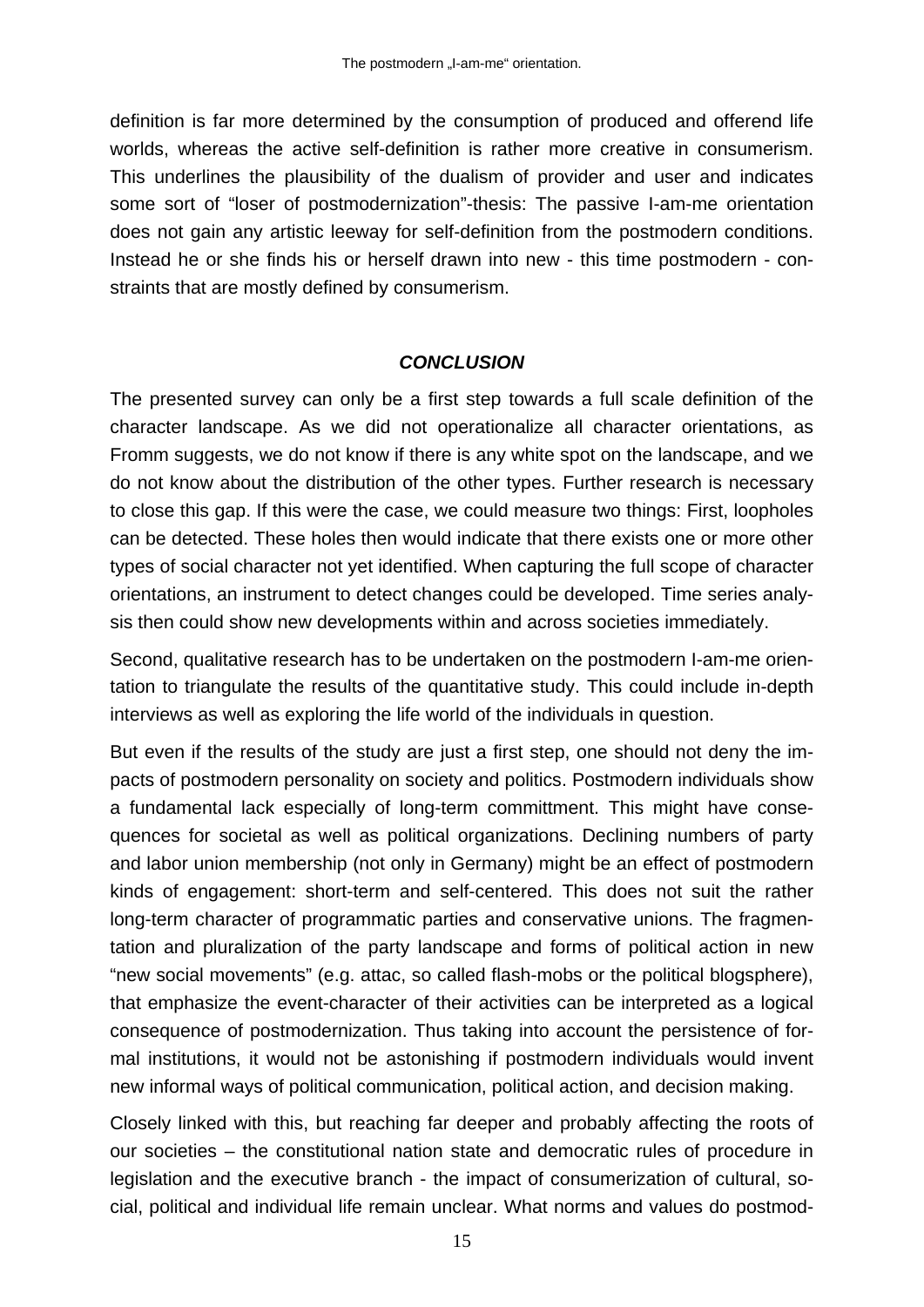definition is far more determined by the consumption of produced and offerend life worlds, whereas the active self-definition is rather more creative in consumerism. This underlines the plausibility of the dualism of provider and user and indicates some sort of "loser of postmodernization"-thesis: The passive I-am-me orientation does not gain any artistic leeway for self-definition from the postmodern conditions. Instead he or she finds his or herself drawn into new - this time postmodern - constraints that are mostly defined by consumerism.

### *CONCLUSION*

The presented survey can only be a first step towards a full scale definition of the character landscape. As we did not operationalize all character orientations, as Fromm suggests, we do not know if there is any white spot on the landscape, and we do not know about the distribution of the other types. Further research is necessary to close this gap. If this were the case, we could measure two things: First, loopholes can be detected. These holes then would indicate that there exists one or more other types of social character not yet identified. When capturing the full scope of character orientations, an instrument to detect changes could be developed. Time series analysis then could show new developments within and across societies immediately.

Second, qualitative research has to be undertaken on the postmodern I-am-me orientation to triangulate the results of the quantitative study. This could include in-depth interviews as well as exploring the life world of the individuals in question.

But even if the results of the study are just a first step, one should not deny the impacts of postmodern personality on society and politics. Postmodern individuals show a fundamental lack especially of long-term committment. This might have consequences for societal as well as political organizations. Declining numbers of party and labor union membership (not only in Germany) might be an effect of postmodern kinds of engagement: short-term and self-centered. This does not suit the rather long-term character of programmatic parties and conservative unions. The fragmentation and pluralization of the party landscape and forms of political action in new "new social movements" (e.g. attac, so called flash-mobs or the political blogsphere), that emphasize the event-character of their activities can be interpreted as a logical consequence of postmodernization. Thus taking into account the persistence of formal institutions, it would not be astonishing if postmodern individuals would invent new informal ways of political communication, political action, and decision making.

Closely linked with this, but reaching far deeper and probably affecting the roots of our societies – the constitutional nation state and democratic rules of procedure in legislation and the executive branch - the impact of consumerization of cultural, social, political and individual life remain unclear. What norms and values do postmod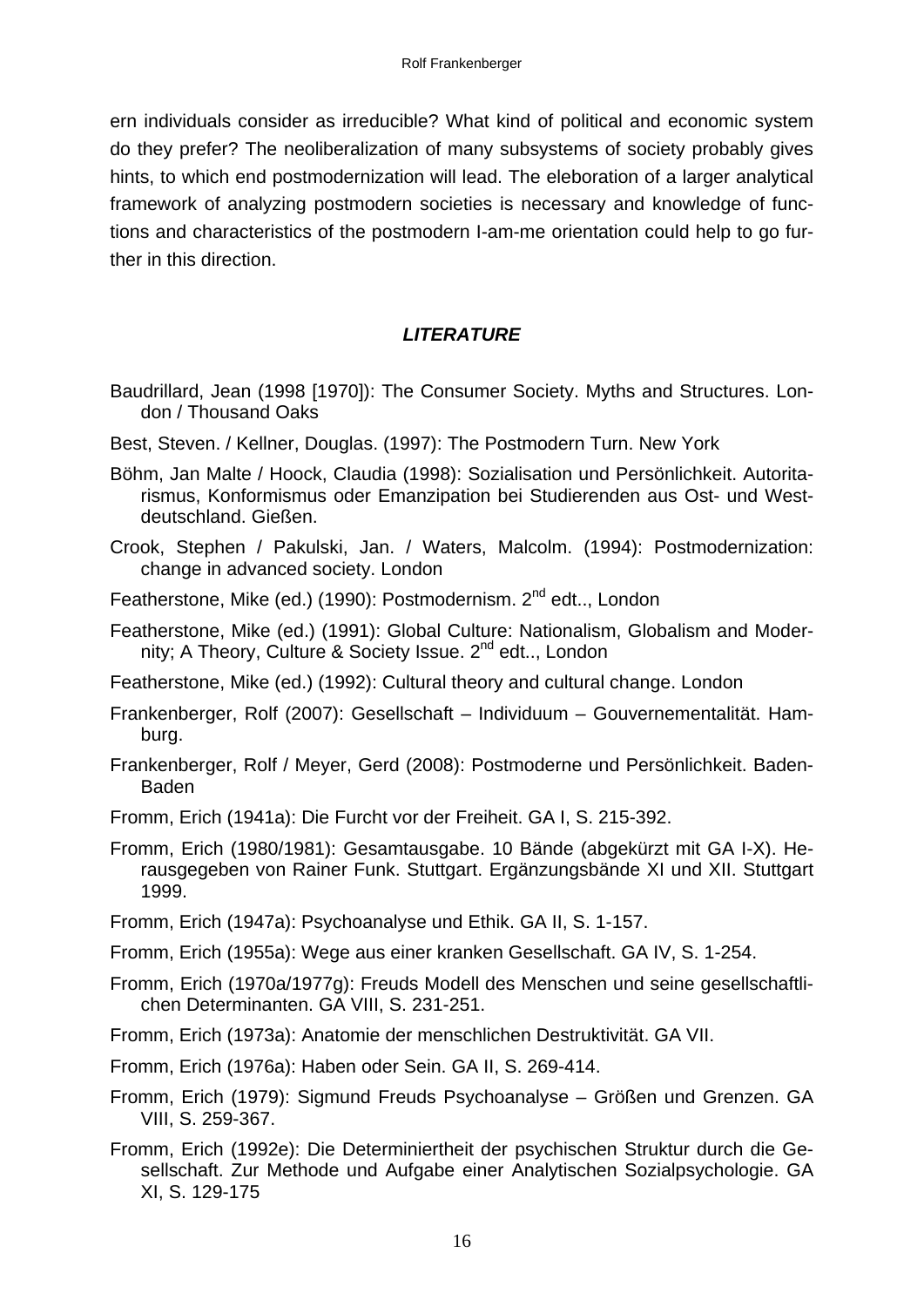ern individuals consider as irreducible? What kind of political and economic system do they prefer? The neoliberalization of many subsystems of society probably gives hints, to which end postmodernization will lead. The eleboration of a larger analytical framework of analyzing postmodern societies is necessary and knowledge of functions and characteristics of the postmodern I-am-me orientation could help to go further in this direction.

### *LITERATURE*

- Baudrillard, Jean (1998 [1970]): The Consumer Society. Myths and Structures. London / Thousand Oaks
- Best, Steven. / Kellner, Douglas. (1997): The Postmodern Turn. New York
- Böhm, Jan Malte / Hoock, Claudia (1998): Sozialisation und Persönlichkeit. Autoritarismus, Konformismus oder Emanzipation bei Studierenden aus Ost- und Westdeutschland. Gießen.
- Crook, Stephen / Pakulski, Jan. / Waters, Malcolm. (1994): Postmodernization: change in advanced society. London
- Featherstone, Mike (ed.) (1990): Postmodernism.  $2^{nd}$  edt.., London
- Featherstone, Mike (ed.) (1991): Global Culture: Nationalism, Globalism and Modernity; A Theory, Culture & Society Issue. 2<sup>nd</sup> edt.., London
- Featherstone, Mike (ed.) (1992): Cultural theory and cultural change. London
- Frankenberger, Rolf (2007): Gesellschaft Individuum Gouvernementalität. Hamburg.
- Frankenberger, Rolf / Meyer, Gerd (2008): Postmoderne und Persönlichkeit. Baden-Baden
- Fromm, Erich (1941a): Die Furcht vor der Freiheit. GA I, S. 215-392.
- Fromm, Erich (1980/1981): Gesamtausgabe. 10 Bände (abgekürzt mit GA I-X). Herausgegeben von Rainer Funk. Stuttgart. Ergänzungsbände XI und XII. Stuttgart 1999.
- Fromm, Erich (1947a): Psychoanalyse und Ethik. GA II, S. 1-157.
- Fromm, Erich (1955a): Wege aus einer kranken Gesellschaft. GA IV, S. 1-254.
- Fromm, Erich (1970a/1977g): Freuds Modell des Menschen und seine gesellschaftlichen Determinanten. GA VIII, S. 231-251.
- Fromm, Erich (1973a): Anatomie der menschlichen Destruktivität. GA VII.
- Fromm, Erich (1976a): Haben oder Sein. GA II, S. 269-414.
- Fromm, Erich (1979): Sigmund Freuds Psychoanalyse Größen und Grenzen. GA VIII, S. 259-367.
- Fromm, Erich (1992e): Die Determiniertheit der psychischen Struktur durch die Gesellschaft. Zur Methode und Aufgabe einer Analytischen Sozialpsychologie. GA XI, S. 129-175